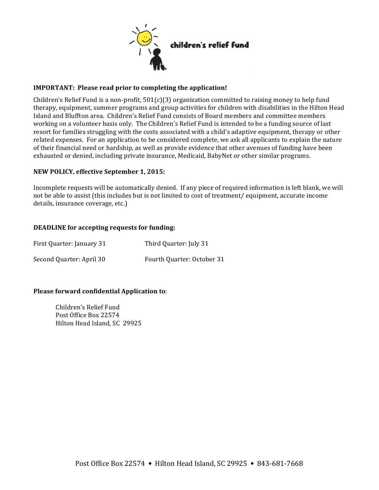

### **IMPORTANT:** Please read prior to completing the application!

Children's Relief Fund is a non-profit,  $501(c)(3)$  organization committed to raising money to help fund therapy, equipment, summer programs and group activities for children with disabilities in the Hilton Head Island and Bluffton area. Children's Relief Fund consists of Board members and committee members working on a volunteer basis only. The Children's Relief Fund is intended to be a funding source of last resort for families struggling with the costs associated with a child's adaptive equipment, therapy or other related expenses. For an application to be considered complete, we ask all applicants to explain the nature of their financial need or hardship, as well as provide evidence that other avenues of funding have been exhausted or denied, including private insurance, Medicaid, BabyNet or other similar programs.

### **NEW POLICY, effective September 1, 2015:**

Incomplete requests will be automatically denied. If any piece of required information is left blank, we will not be able to assist (this includes but is not limited to cost of treatment/ equipment, accurate income details, insurance coverage, etc.)

#### **DEADLINE** for accepting requests for funding:

| First Quarter: January 31 | Third Quarter: July 31     |
|---------------------------|----------------------------|
| Second Quarter: April 30  | Fourth Quarter: October 31 |

# **Please forward confidential Application to:**

Children's Relief Fund Post Office Box 22574 Hilton Head Island, SC 29925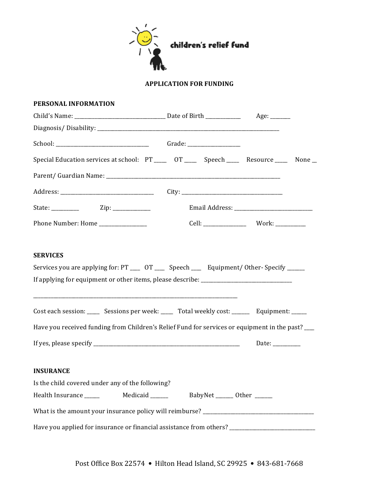

# **APPLICATION FOR FUNDING**

| PERSONAL INFORMATION                                                                                 |  |                                                                           |  |
|------------------------------------------------------------------------------------------------------|--|---------------------------------------------------------------------------|--|
|                                                                                                      |  |                                                                           |  |
|                                                                                                      |  |                                                                           |  |
|                                                                                                      |  |                                                                           |  |
| Special Education services at school: PT ____ OT ____ Speech ____ Resource ____ None _               |  |                                                                           |  |
|                                                                                                      |  |                                                                           |  |
|                                                                                                      |  |                                                                           |  |
|                                                                                                      |  |                                                                           |  |
| Phone Number: Home ______________                                                                    |  |                                                                           |  |
| Cost each session: _____ Sessions per week: _____ Total weekly cost: ______ Equipment: _____         |  |                                                                           |  |
| Have you received funding from Children's Relief Fund for services or equipment in the past? ___     |  |                                                                           |  |
|                                                                                                      |  | Date: $\frac{1}{\sqrt{1-\frac{1}{2}}\cdot\frac{1}{\sqrt{1-\frac{1}{2}}}}$ |  |
| <b>INSURANCE</b>                                                                                     |  |                                                                           |  |
| Is the child covered under any of the following?                                                     |  |                                                                           |  |
|                                                                                                      |  |                                                                           |  |
|                                                                                                      |  |                                                                           |  |
| Have you applied for insurance or financial assistance from others? ________________________________ |  |                                                                           |  |